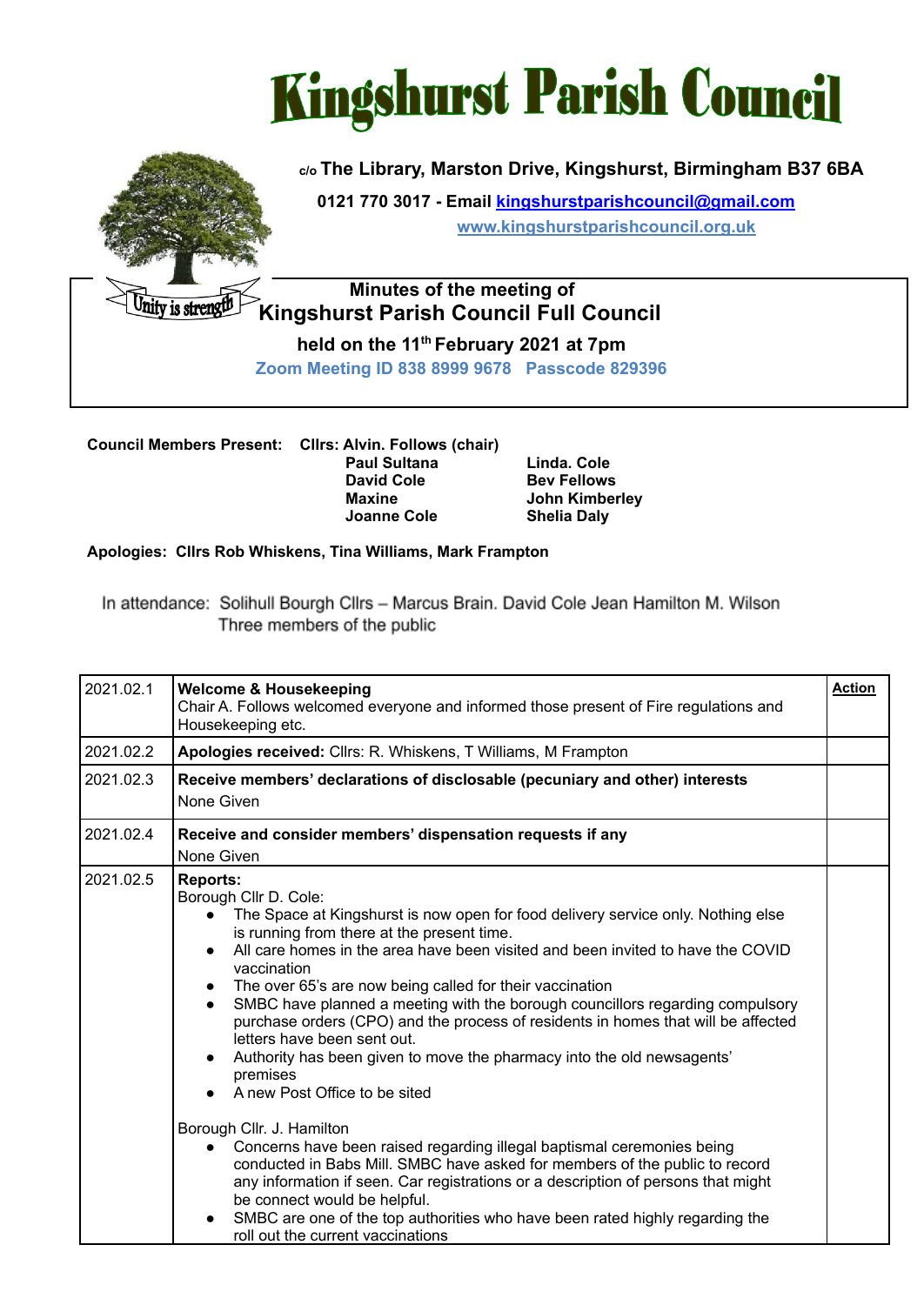



nity is strengt

## **c/o The Library, Marston Drive, Kingshurst, Birmingham B37 6BA**

**0121 770 3017 - Email [kingshurstparishcouncil@gmail.com](mailto:kingshurstparishcouncil@gmail.com) [www.kingshurstparishcouncil.org.uk](http://www.kingshurstparishcouncil.org.uk)**

## **Minutes of the meeting of Kingshurst Parish Council Full Council**

**held on the 11 th February 2021 at 7pm Zoom Meeting ID 838 8999 9678 Passcode 829396**

**Council Members Present: Cllrs: Alvin. Follows (chair) Paul Sultana Linda. Cole David Cole Bev Fellows Maxine John Kimberley Joanne Cole Shelia Daly**

## **Apologies: Cllrs Rob Whiskens, Tina Williams, Mark Frampton**

In attendance: Solihull Bourgh Cllrs - Marcus Brain, David Cole Jean Hamilton M. Wilson Three members of the public

| 2021.02.1 | <b>Welcome &amp; Housekeeping</b><br>Chair A. Follows welcomed everyone and informed those present of Fire regulations and<br>Housekeeping etc.                                                                                                                                                                                                                                                                                                                                                                                                                                                                                                                                                                                                                                                                                                                                                                                                                                                                                                                                                                   | <b>Action</b> |
|-----------|-------------------------------------------------------------------------------------------------------------------------------------------------------------------------------------------------------------------------------------------------------------------------------------------------------------------------------------------------------------------------------------------------------------------------------------------------------------------------------------------------------------------------------------------------------------------------------------------------------------------------------------------------------------------------------------------------------------------------------------------------------------------------------------------------------------------------------------------------------------------------------------------------------------------------------------------------------------------------------------------------------------------------------------------------------------------------------------------------------------------|---------------|
| 2021.02.2 | Apologies received: Cllrs: R. Whiskens, T Williams, M Frampton                                                                                                                                                                                                                                                                                                                                                                                                                                                                                                                                                                                                                                                                                                                                                                                                                                                                                                                                                                                                                                                    |               |
| 2021.02.3 | Receive members' declarations of disclosable (pecuniary and other) interests<br>None Given                                                                                                                                                                                                                                                                                                                                                                                                                                                                                                                                                                                                                                                                                                                                                                                                                                                                                                                                                                                                                        |               |
| 2021.02.4 | Receive and consider members' dispensation requests if any<br>None Given                                                                                                                                                                                                                                                                                                                                                                                                                                                                                                                                                                                                                                                                                                                                                                                                                                                                                                                                                                                                                                          |               |
| 2021.02.5 | <b>Reports:</b><br>Borough Cllr D. Cole:<br>The Space at Kingshurst is now open for food delivery service only. Nothing else<br>is running from there at the present time.<br>All care homes in the area have been visited and been invited to have the COVID<br>vaccination<br>The over 65's are now being called for their vaccination<br>SMBC have planned a meeting with the borough councillors regarding compulsory<br>purchase orders (CPO) and the process of residents in homes that will be affected<br>letters have been sent out.<br>Authority has been given to move the pharmacy into the old newsagents'<br>premises<br>A new Post Office to be sited<br>Borough Cllr. J. Hamilton<br>Concerns have been raised regarding illegal baptismal ceremonies being<br>$\bullet$<br>conducted in Babs Mill. SMBC have asked for members of the public to record<br>any information if seen. Car registrations or a description of persons that might<br>be connect would be helpful.<br>SMBC are one of the top authorities who have been rated highly regarding the<br>roll out the current vaccinations |               |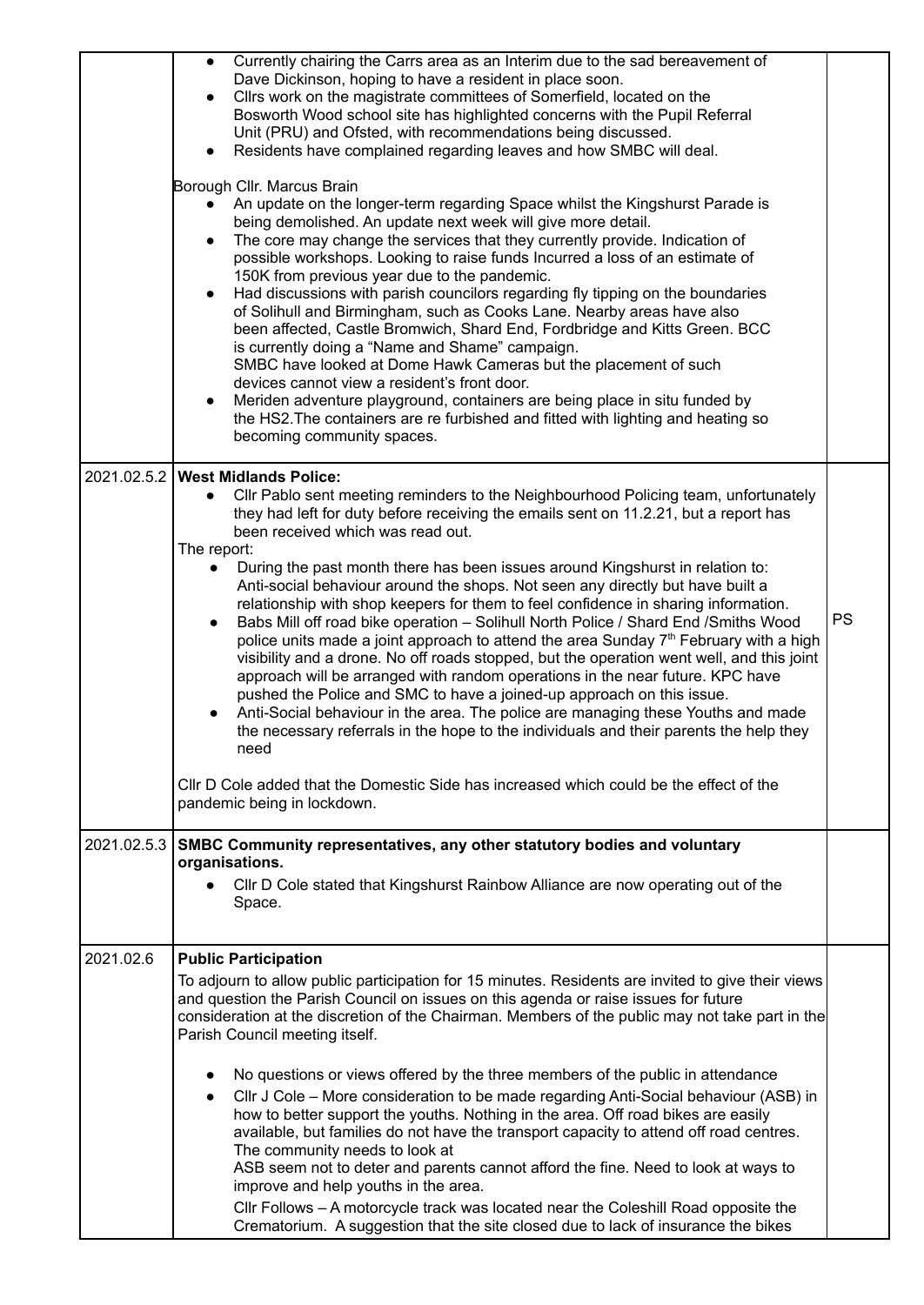|             | Currently chairing the Carrs area as an Interim due to the sad bereavement of<br>$\bullet$<br>Dave Dickinson, hoping to have a resident in place soon.<br>Cllrs work on the magistrate committees of Somerfield, located on the<br>$\bullet$<br>Bosworth Wood school site has highlighted concerns with the Pupil Referral<br>Unit (PRU) and Ofsted, with recommendations being discussed.<br>Residents have complained regarding leaves and how SMBC will deal.<br>Borough Cllr. Marcus Brain<br>An update on the longer-term regarding Space whilst the Kingshurst Parade is<br>being demolished. An update next week will give more detail.<br>The core may change the services that they currently provide. Indication of<br>$\bullet$<br>possible workshops. Looking to raise funds Incurred a loss of an estimate of<br>150K from previous year due to the pandemic.<br>Had discussions with parish councilors regarding fly tipping on the boundaries<br>$\bullet$<br>of Solihull and Birmingham, such as Cooks Lane. Nearby areas have also<br>been affected, Castle Bromwich, Shard End, Fordbridge and Kitts Green. BCC<br>is currently doing a "Name and Shame" campaign.<br>SMBC have looked at Dome Hawk Cameras but the placement of such<br>devices cannot view a resident's front door.<br>Meriden adventure playground, containers are being place in situ funded by<br>the HS2. The containers are re furbished and fitted with lighting and heating so<br>becoming community spaces. |           |
|-------------|---------------------------------------------------------------------------------------------------------------------------------------------------------------------------------------------------------------------------------------------------------------------------------------------------------------------------------------------------------------------------------------------------------------------------------------------------------------------------------------------------------------------------------------------------------------------------------------------------------------------------------------------------------------------------------------------------------------------------------------------------------------------------------------------------------------------------------------------------------------------------------------------------------------------------------------------------------------------------------------------------------------------------------------------------------------------------------------------------------------------------------------------------------------------------------------------------------------------------------------------------------------------------------------------------------------------------------------------------------------------------------------------------------------------------------------------------------------------------------------------------------|-----------|
|             | 2021.02.5.2   West Midlands Police:<br>CIIr Pablo sent meeting reminders to the Neighbourhood Policing team, unfortunately<br>they had left for duty before receiving the emails sent on 11.2.21, but a report has<br>been received which was read out.<br>The report:<br>During the past month there has been issues around Kingshurst in relation to:<br>Anti-social behaviour around the shops. Not seen any directly but have built a<br>relationship with shop keepers for them to feel confidence in sharing information.<br>Babs Mill off road bike operation - Solihull North Police / Shard End / Smiths Wood<br>$\bullet$<br>police units made a joint approach to attend the area Sunday 7 <sup>th</sup> February with a high<br>visibility and a drone. No off roads stopped, but the operation went well, and this joint<br>approach will be arranged with random operations in the near future. KPC have<br>pushed the Police and SMC to have a joined-up approach on this issue.<br>Anti-Social behaviour in the area. The police are managing these Youths and made<br>the necessary referrals in the hope to the individuals and their parents the help they<br>need<br>CIIr D Cole added that the Domestic Side has increased which could be the effect of the<br>pandemic being in lockdown.                                                                                                                                                                                         | <b>PS</b> |
| 2021.02.5.3 | SMBC Community representatives, any other statutory bodies and voluntary<br>organisations.<br>CIIr D Cole stated that Kingshurst Rainbow Alliance are now operating out of the<br>Space.                                                                                                                                                                                                                                                                                                                                                                                                                                                                                                                                                                                                                                                                                                                                                                                                                                                                                                                                                                                                                                                                                                                                                                                                                                                                                                                |           |
| 2021.02.6   | <b>Public Participation</b><br>To adjourn to allow public participation for 15 minutes. Residents are invited to give their views<br>and question the Parish Council on issues on this agenda or raise issues for future<br>consideration at the discretion of the Chairman. Members of the public may not take part in the<br>Parish Council meeting itself.<br>No questions or views offered by the three members of the public in attendance<br>CIIr J Cole - More consideration to be made regarding Anti-Social behaviour (ASB) in<br>$\bullet$<br>how to better support the youths. Nothing in the area. Off road bikes are easily<br>available, but families do not have the transport capacity to attend off road centres.<br>The community needs to look at<br>ASB seem not to deter and parents cannot afford the fine. Need to look at ways to<br>improve and help youths in the area.<br>CIIr Follows - A motorcycle track was located near the Coleshill Road opposite the<br>Crematorium. A suggestion that the site closed due to lack of insurance the bikes                                                                                                                                                                                                                                                                                                                                                                                                                            |           |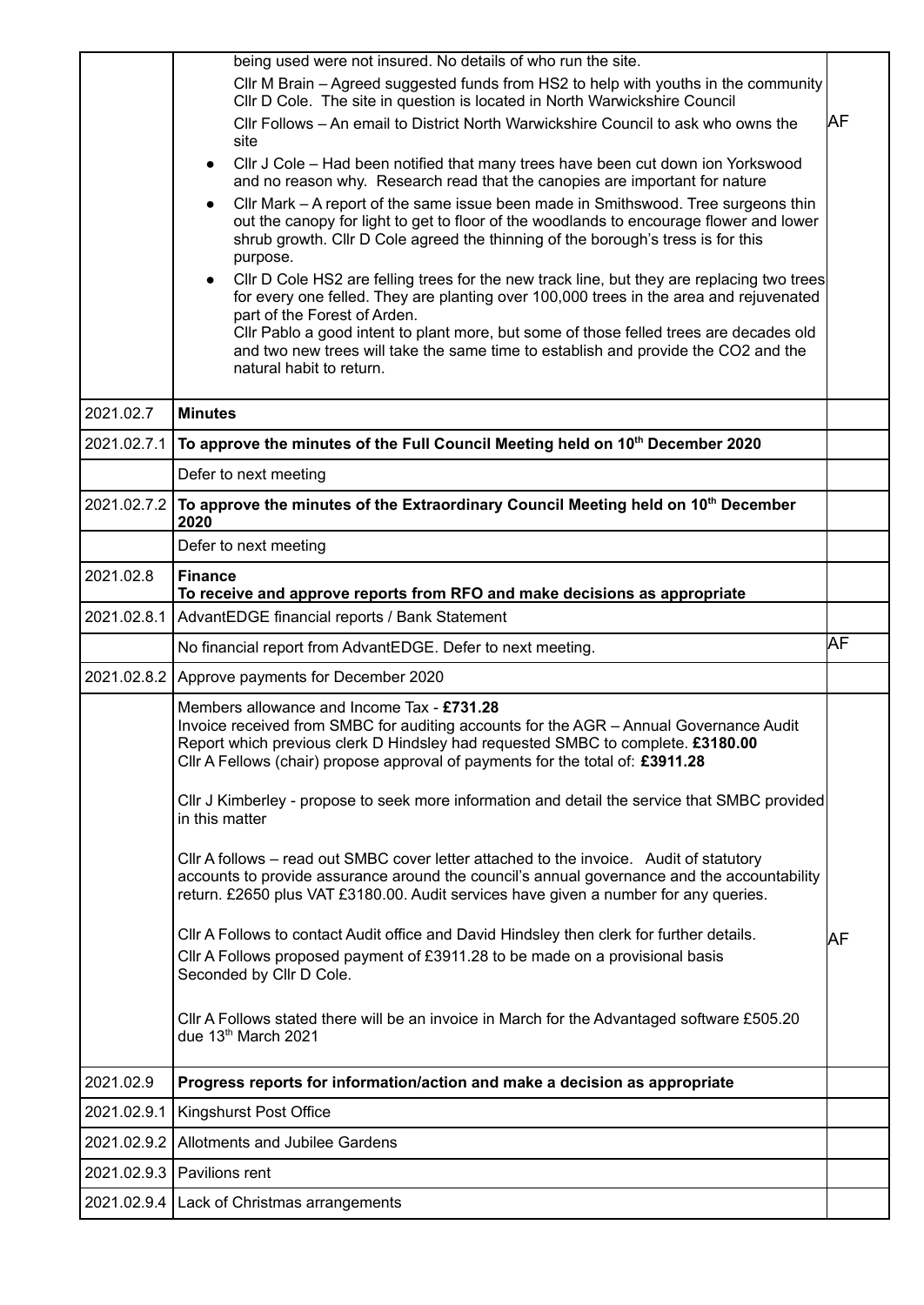|             | being used were not insured. No details of who run the site.                                                                                                                                                                                                                                                                |     |
|-------------|-----------------------------------------------------------------------------------------------------------------------------------------------------------------------------------------------------------------------------------------------------------------------------------------------------------------------------|-----|
|             | CIIr M Brain – Agreed suggested funds from HS2 to help with youths in the community<br>CIIr D Cole. The site in question is located in North Warwickshire Council                                                                                                                                                           |     |
|             | CIIr Follows - An email to District North Warwickshire Council to ask who owns the<br>site                                                                                                                                                                                                                                  | ΙAF |
|             | CIIr J Cole - Had been notified that many trees have been cut down ion Yorkswood<br>and no reason why. Research read that the canopies are important for nature                                                                                                                                                             |     |
|             | CIIr Mark – A report of the same issue been made in Smithswood. Tree surgeons thin<br>out the canopy for light to get to floor of the woodlands to encourage flower and lower<br>shrub growth. Cllr D Cole agreed the thinning of the borough's tress is for this<br>purpose.                                               |     |
|             | CIIr D Cole HS2 are felling trees for the new track line, but they are replacing two trees<br>$\bullet$<br>for every one felled. They are planting over 100,000 trees in the area and rejuvenated<br>part of the Forest of Arden.<br>Cllr Pablo a good intent to plant more, but some of those felled trees are decades old |     |
|             | and two new trees will take the same time to establish and provide the CO2 and the<br>natural habit to return.                                                                                                                                                                                                              |     |
| 2021.02.7   | <b>Minutes</b>                                                                                                                                                                                                                                                                                                              |     |
| 2021.02.7.1 | To approve the minutes of the Full Council Meeting held on 10 <sup>th</sup> December 2020                                                                                                                                                                                                                                   |     |
|             | Defer to next meeting                                                                                                                                                                                                                                                                                                       |     |
| 2021.02.7.2 | To approve the minutes of the Extraordinary Council Meeting held on 10 <sup>th</sup> December<br>2020                                                                                                                                                                                                                       |     |
|             | Defer to next meeting                                                                                                                                                                                                                                                                                                       |     |
| 2021.02.8   | <b>Finance</b><br>To receive and approve reports from RFO and make decisions as appropriate                                                                                                                                                                                                                                 |     |
| 2021.02.8.1 | AdvantEDGE financial reports / Bank Statement                                                                                                                                                                                                                                                                               |     |
|             | No financial report from AdvantEDGE. Defer to next meeting.                                                                                                                                                                                                                                                                 | lΑF |
| 2021.02.8.2 | Approve payments for December 2020                                                                                                                                                                                                                                                                                          |     |
|             | Members allowance and Income Tax - £731.28<br>Invoice received from SMBC for auditing accounts for the AGR - Annual Governance Audit<br>Report which previous clerk D Hindsley had requested SMBC to complete. £3180.00<br>Cllr A Fellows (chair) propose approval of payments for the total of: £3911.28                   |     |
|             | CIIr J Kimberley - propose to seek more information and detail the service that SMBC provided<br>in this matter                                                                                                                                                                                                             |     |
|             | Cllr A follows – read out SMBC cover letter attached to the invoice. Audit of statutory<br>accounts to provide assurance around the council's annual governance and the accountability<br>return. £2650 plus VAT £3180.00. Audit services have given a number for any queries.                                              |     |
|             | CIIr A Follows to contact Audit office and David Hindsley then clerk for further details.<br>CIIr A Follows proposed payment of £3911.28 to be made on a provisional basis<br>Seconded by Cllr D Cole.                                                                                                                      | lΑF |
|             | CIIr A Follows stated there will be an invoice in March for the Advantaged software £505.20<br>due 13th March 2021                                                                                                                                                                                                          |     |
| 2021.02.9   | Progress reports for information/action and make a decision as appropriate                                                                                                                                                                                                                                                  |     |
| 2021.02.9.1 | Kingshurst Post Office                                                                                                                                                                                                                                                                                                      |     |
| 2021.02.9.2 | Allotments and Jubilee Gardens                                                                                                                                                                                                                                                                                              |     |
| 2021.02.9.3 | Pavilions rent                                                                                                                                                                                                                                                                                                              |     |
|             |                                                                                                                                                                                                                                                                                                                             |     |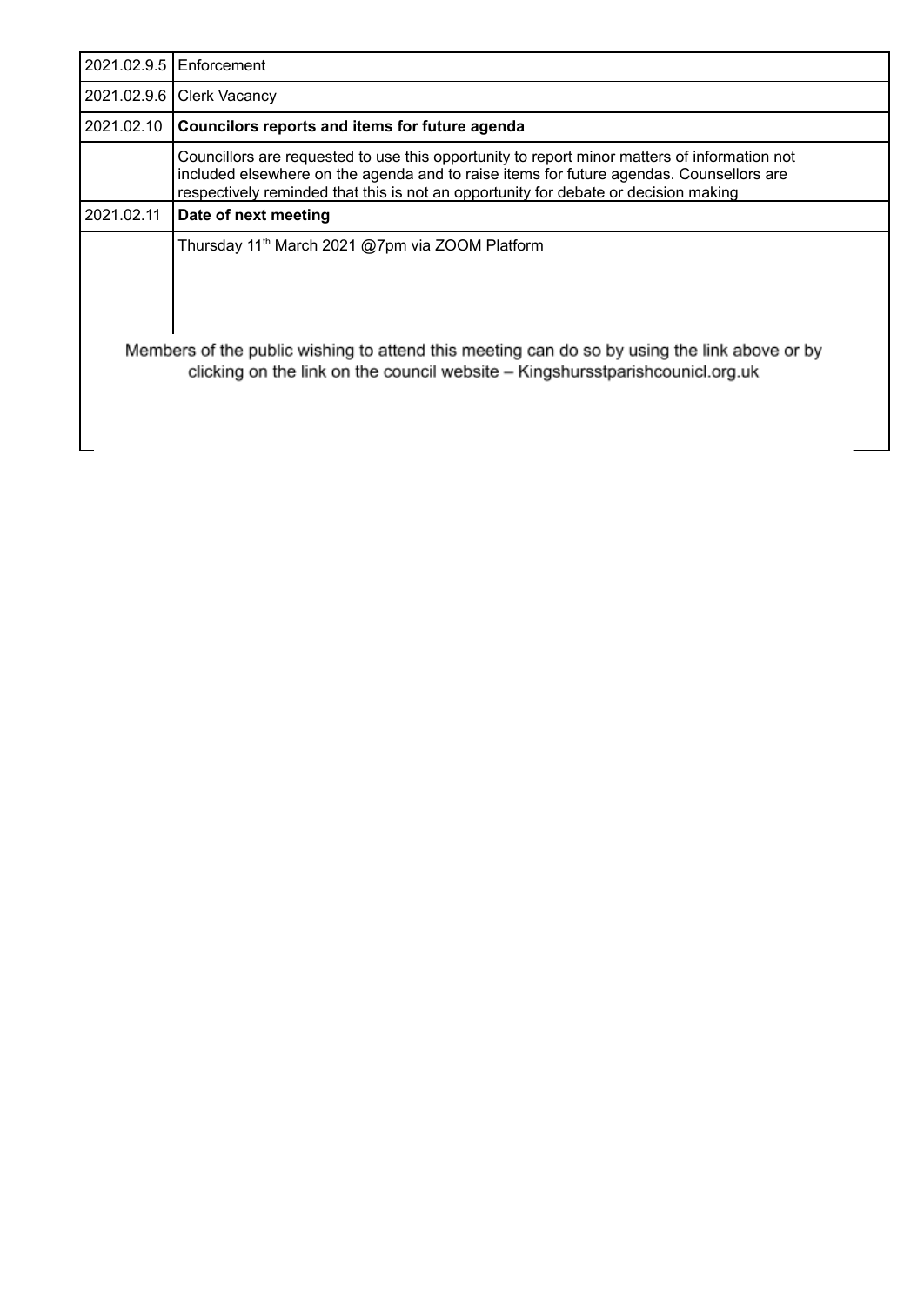|                                                                                                                                                                                | 2021.02.9.5   Enforcement                                                                                                                                                                                                                                                      |  |
|--------------------------------------------------------------------------------------------------------------------------------------------------------------------------------|--------------------------------------------------------------------------------------------------------------------------------------------------------------------------------------------------------------------------------------------------------------------------------|--|
| 2021.02.9.6                                                                                                                                                                    | <b>Clerk Vacancy</b>                                                                                                                                                                                                                                                           |  |
| 2021.02.10                                                                                                                                                                     | Councilors reports and items for future agenda                                                                                                                                                                                                                                 |  |
|                                                                                                                                                                                | Councillors are requested to use this opportunity to report minor matters of information not<br>included elsewhere on the agenda and to raise items for future agendas. Counsellors are<br>respectively reminded that this is not an opportunity for debate or decision making |  |
| 2021.02.11                                                                                                                                                                     | Date of next meeting                                                                                                                                                                                                                                                           |  |
|                                                                                                                                                                                | Thursday 11 <sup>th</sup> March 2021 @7pm via ZOOM Platform                                                                                                                                                                                                                    |  |
| Members of the public wishing to attend this meeting can do so by using the link above or by<br>clicking on the link on the council website – Kingshursstparish counicl.org.uk |                                                                                                                                                                                                                                                                                |  |